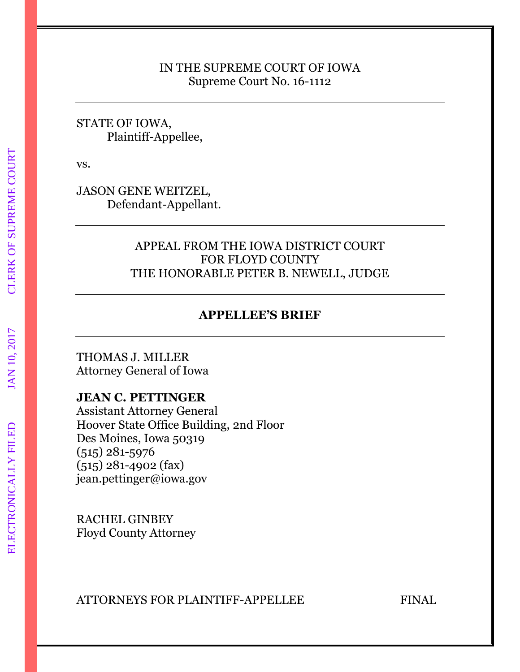#### IN THE SUPREME COURT OF IOWA Supreme Court No. 16-1112

#### STATE OF IOWA, Plaintiff-Appellee,

vs.

JASON GENE WEITZEL, Defendant-Appellant.

## APPEAL FROM THE IOWA DISTRICT COURT FOR FLOYD COUNTY THE HONORABLE PETER B. NEWELL, JUDGE

## **APPELLEE'S BRIEF**

THOMAS J. MILLER Attorney General of Iowa

#### **JEAN C. PETTINGER**

Assistant Attorney General Hoover State Office Building, 2nd Floor Des Moines, Iowa 50319 (515) 281-5976 (515) 281-4902 (fax) jean.pettinger@iowa.gov

RACHEL GINBEY Floyd County Attorney

ATTORNEYS FOR PLAINTIFF-APPELLEE FINAL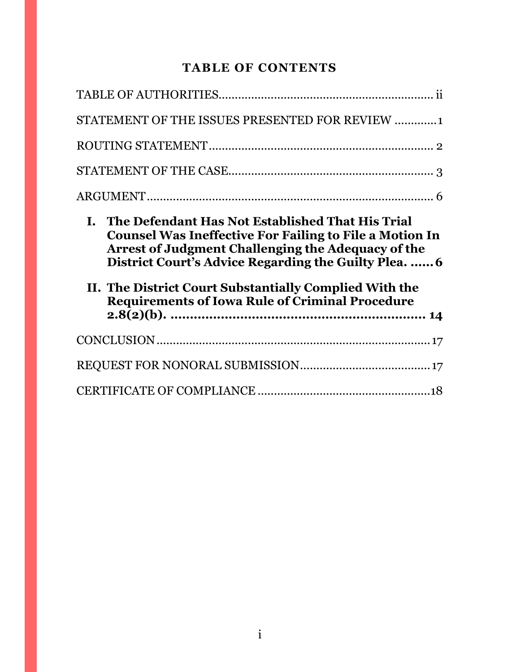## **TABLE OF CONTENTS**

| STATEMENT OF THE ISSUES PRESENTED FOR REVIEW 1                                                                                                                                                                                                                                                                                                                     |
|--------------------------------------------------------------------------------------------------------------------------------------------------------------------------------------------------------------------------------------------------------------------------------------------------------------------------------------------------------------------|
|                                                                                                                                                                                                                                                                                                                                                                    |
|                                                                                                                                                                                                                                                                                                                                                                    |
|                                                                                                                                                                                                                                                                                                                                                                    |
|                                                                                                                                                                                                                                                                                                                                                                    |
| The Defendant Has Not Established That His Trial<br>I.<br><b>Counsel Was Ineffective For Failing to File a Motion In</b><br><b>Arrest of Judgment Challenging the Adequacy of the</b><br>District Court's Advice Regarding the Guilty Plea.  6<br>II. The District Court Substantially Complied With the<br><b>Requirements of Iowa Rule of Criminal Procedure</b> |
|                                                                                                                                                                                                                                                                                                                                                                    |
|                                                                                                                                                                                                                                                                                                                                                                    |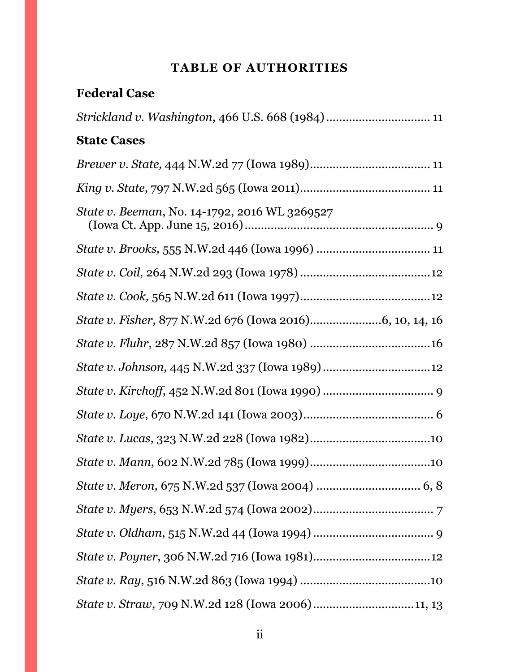# **TABLE OF AUTHORITIES**

<span id="page-2-0"></span>

| <b>Federal Case</b>                               |
|---------------------------------------------------|
| Strickland v. Washington, 466 U.S. 668 (1984)  11 |
| <b>State Cases</b>                                |
|                                                   |
|                                                   |
| State v. Beeman, No. 14-1792, 2016 WL 3269527     |
|                                                   |
|                                                   |
|                                                   |
|                                                   |
|                                                   |
|                                                   |
|                                                   |
|                                                   |
|                                                   |
|                                                   |
|                                                   |
|                                                   |
|                                                   |
|                                                   |
|                                                   |
|                                                   |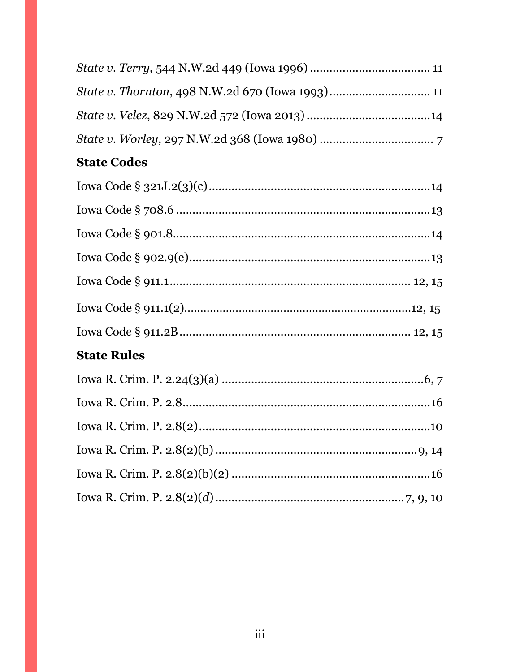# **State Codes**

| <b>State Rules</b> |  |
|--------------------|--|
|                    |  |
|                    |  |
|                    |  |
|                    |  |
|                    |  |
|                    |  |
|                    |  |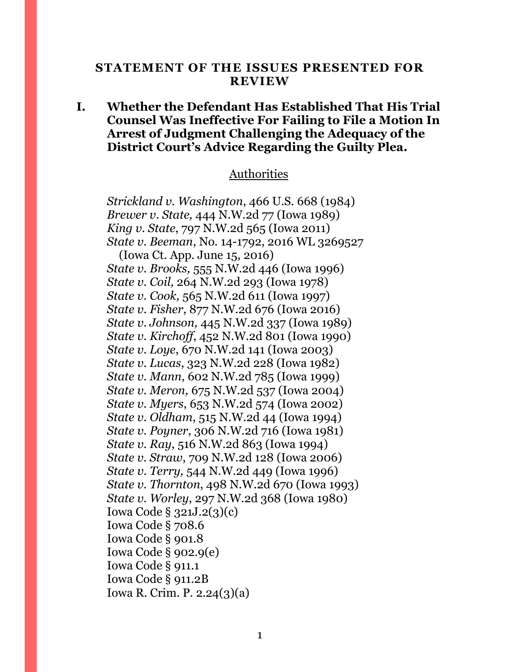#### <span id="page-4-0"></span>**STATEMENT OF THE ISSUES PRESENTED FOR REVIEW**

#### **I. Whether the Defendant Has Established That His Trial Counsel Was Ineffective For Failing to File a Motion In Arrest of Judgment Challenging the Adequacy of the District Court's Advice Regarding the Guilty Plea.**

#### Authorities

*Strickland v. Washington*, 466 U.S. 668 (1984) *Brewer v. State,* 444 N.W.2d 77 (Iowa 1989) *King v. State*, 797 N.W.2d 565 (Iowa 2011) *State v. Beeman*, No. 14-1792, 2016 WL 3269527 (Iowa Ct. App. June 15, 2016) *State v. Brooks,* 555 N.W.2d 446 (Iowa 1996) *State v. Coil,* 264 N.W.2d 293 (Iowa 1978) *State v. Cook,* 565 N.W.2d 611 (Iowa 1997) *State v. Fisher*, 877 N.W.2d 676 (Iowa 2016) *State v. Johnson,* 445 N.W.2d 337 (Iowa 1989) *State v. Kirchoff*, 452 N.W.2d 801 (Iowa 1990) *State v. Loye*, 670 N.W.2d 141 (Iowa 2003) *State v. Lucas*, 323 N.W.2d 228 (Iowa 1982) *State v. Mann*, 602 N.W.2d 785 (Iowa 1999) *State v. Meron,* 675 N.W.2d 537 (Iowa 2004) *State v. Myers*, 653 N.W.2d 574 (Iowa 2002) *State v. Oldham*, 515 N.W.2d 44 (Iowa 1994) *State v. Poyner*, 306 N.W.2d 716 (Iowa 1981) *State v. Ray, 516 N.W.2d 863 (Iowa 1994) State v. Straw*, 709 N.W.2d 128 (Iowa 2006) *State v. Terry,* 544 N.W.2d 449 (Iowa 1996) *State v. Thornton*, 498 N.W.2d 670 (Iowa 1993) *State v. Worley*, 297 N.W.2d 368 (Iowa 1980) Iowa Code § 321J.2(3)(c) Iowa Code § 708.6 Iowa Code § 901.8 Iowa Code § 902.9(e) Iowa Code § 911.1 Iowa Code § 911.2B Iowa R. Crim. P. 2.24(3)(a)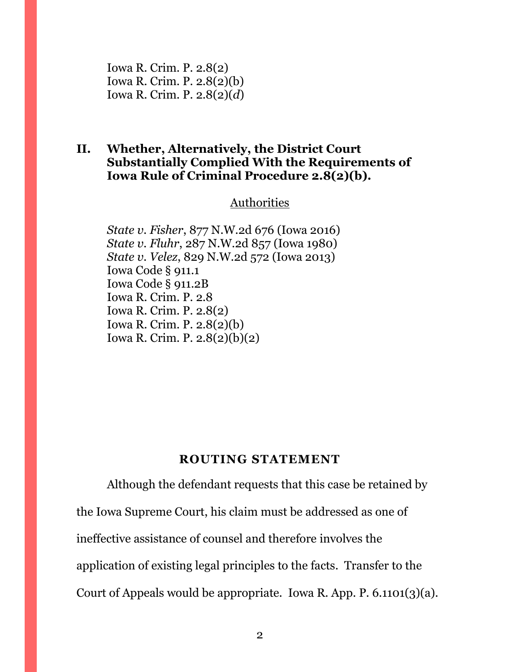Iowa R. Crim. P. 2.8(2) Iowa R. Crim. P. 2.8(2)(b) Iowa R. Crim. P. 2.8(2)(*d*)

### **II. Whether, Alternatively, the District Court Substantially Complied With the Requirements of Iowa Rule of Criminal Procedure 2.8(2)(b).**

### **Authorities**

*State v. Fisher*, 877 N.W.2d 676 (Iowa 2016) *State v. Fluhr*, 287 N.W.2d 857 (Iowa 1980) *State v. Velez*, 829 N.W.2d 572 (Iowa 2013) Iowa Code § 911.1 Iowa Code § 911.2B Iowa R. Crim. P. 2.8 Iowa R. Crim. P. 2.8(2) Iowa R. Crim. P. 2.8(2)(b) Iowa R. Crim. P. 2.8(2)(b)(2)

#### **ROUTING STATEMENT**

<span id="page-5-0"></span>Although the defendant requests that this case be retained by the Iowa Supreme Court, his claim must be addressed as one of ineffective assistance of counsel and therefore involves the application of existing legal principles to the facts. Transfer to the Court of Appeals would be appropriate. Iowa R. App. P. 6.1101(3)(a).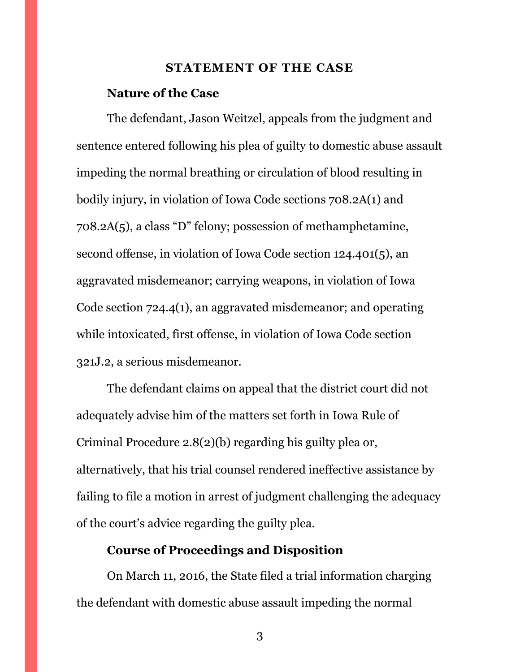#### **STATEMENT OF THE CASE**

#### <span id="page-6-0"></span>**Nature of the Case**

The defendant, Jason Weitzel, appeals from the judgment and sentence entered following his plea of guilty to domestic abuse assault impeding the normal breathing or circulation of blood resulting in bodily injury, in violation of Iowa Code sections 708.2A(1) and 708.2A(5), a class "D" felony; possession of methamphetamine, second offense, in violation of Iowa Code section 124.401(5), an aggravated misdemeanor; carrying weapons, in violation of Iowa Code section 724.4(1), an aggravated misdemeanor; and operating while intoxicated, first offense, in violation of Iowa Code section 321J.2, a serious misdemeanor.

The defendant claims on appeal that the district court did not adequately advise him of the matters set forth in Iowa Rule of Criminal Procedure 2.8(2)(b) regarding his guilty plea or, alternatively, that his trial counsel rendered ineffective assistance by failing to file a motion in arrest of judgment challenging the adequacy of the court's advice regarding the guilty plea.

### **Course of Proceedings and Disposition**

On March 11, 2016, the State filed a trial information charging the defendant with domestic abuse assault impeding the normal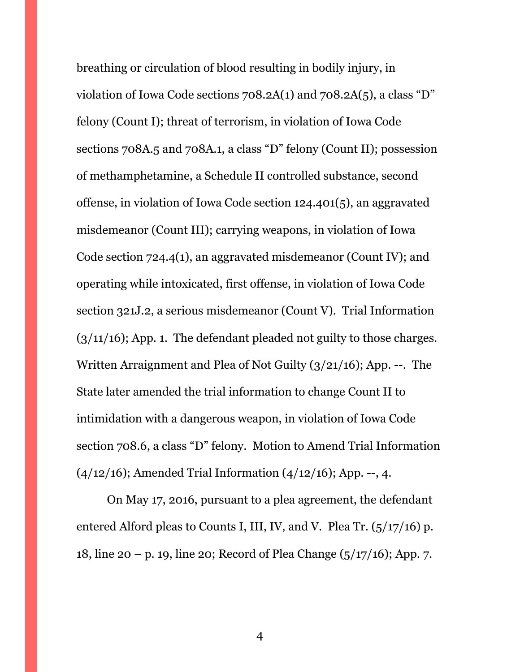breathing or circulation of blood resulting in bodily injury, in violation of Iowa Code sections 708.2A(1) and 708.2A(5), a class "D" felony (Count I); threat of terrorism, in violation of Iowa Code sections 708A.5 and 708A.1, a class "D" felony (Count II); possession of methamphetamine, a Schedule II controlled substance, second offense, in violation of Iowa Code section 124.401(5), an aggravated misdemeanor (Count III); carrying weapons, in violation of Iowa Code section 724.4(1), an aggravated misdemeanor (Count IV); and operating while intoxicated, first offense, in violation of Iowa Code section 321J.2, a serious misdemeanor (Count V). Trial Information  $(3/11/16)$ ; App. 1. The defendant pleaded not guilty to those charges. Written Arraignment and Plea of Not Guilty (3/21/16); App. --. The State later amended the trial information to change Count II to intimidation with a dangerous weapon, in violation of Iowa Code section 708.6, a class "D" felony. Motion to Amend Trial Information  $(4/12/16)$ ; Amended Trial Information  $(4/12/16)$ ; App. --, 4.

On May 17, 2016, pursuant to a plea agreement, the defendant entered Alford pleas to Counts I, III, IV, and V. Plea Tr.  $(5/17/16)$  p. 18, line 20 – p. 19, line 20; Record of Plea Change (5/17/16); App. 7.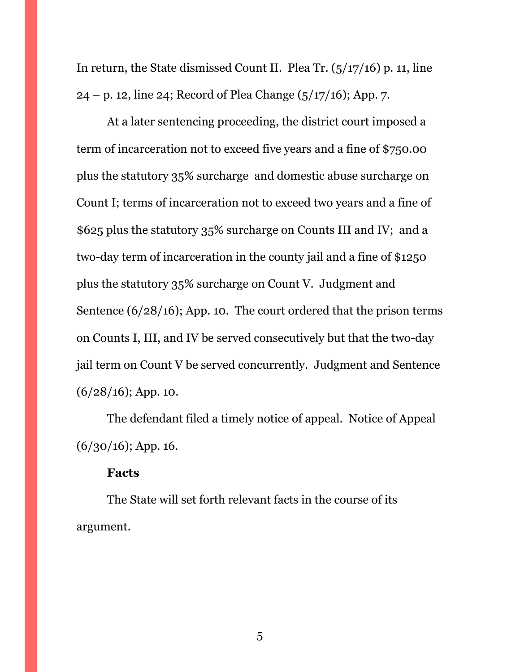In return, the State dismissed Count II. Plea Tr. (5/17/16) p. 11, line  $24 - p.$  12, line 24; Record of Plea Change ( $\frac{5}{17/16}$ ); App. 7.

At a later sentencing proceeding, the district court imposed a term of incarceration not to exceed five years and a fine of \$750.00 plus the statutory 35% surcharge and domestic abuse surcharge on Count I; terms of incarceration not to exceed two years and a fine of \$625 plus the statutory 35% surcharge on Counts III and IV; and a two-day term of incarceration in the county jail and a fine of \$1250 plus the statutory 35% surcharge on Count V. Judgment and Sentence (6/28/16); App. 10. The court ordered that the prison terms on Counts I, III, and IV be served consecutively but that the two-day jail term on Count V be served concurrently. Judgment and Sentence  $(6/28/16)$ ; App. 10.

The defendant filed a timely notice of appeal. Notice of Appeal  $(6/30/16)$ ; App. 16.

#### **Facts**

The State will set forth relevant facts in the course of its argument.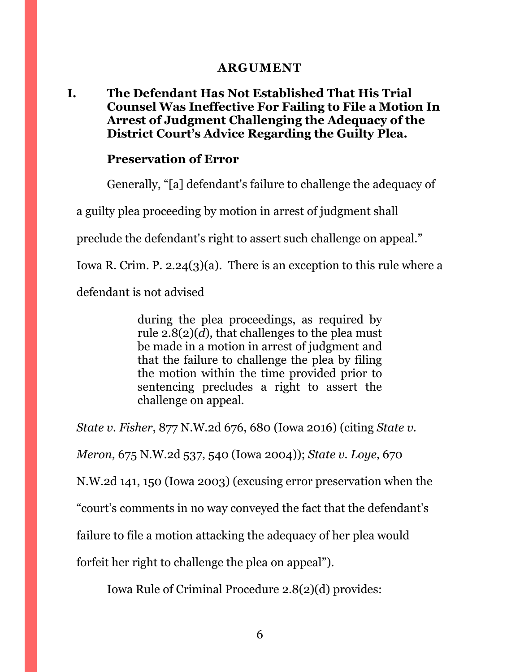### **ARGUMENT**

## <span id="page-9-1"></span><span id="page-9-0"></span>**I. The Defendant Has Not Established That His Trial Counsel Was Ineffective For Failing to File a Motion In Arrest of Judgment Challenging the Adequacy of the District Court's Advice Regarding the Guilty Plea.**

#### **Preservation of Error**

Generally, "[a] defendant's failure to challenge the adequacy of

a guilty plea proceeding by motion in arrest of judgment shall

preclude the defendant's right to assert such challenge on appeal."

Iowa R. Crim. P. 2.24(3)(a). There is an exception to this rule where a

defendant is not advised

during the plea proceedings, as required by rule  $2.8(2)(d)$ , that challenges to the plea must be made in a motion in arrest of judgment and that the failure to challenge the plea by filing the motion within the time provided prior to sentencing precludes a right to assert the challenge on appeal.

*State v. Fisher*, 877 N.W.2d 676, 680 (Iowa 2016) (citing *State v.* 

*Meron,* 675 N.W.2d 537, 540 (Iowa 2004)); *State v. Loye*, 670

N.W.2d 141, 150 (Iowa 2003) (excusing error preservation when the

"court's comments in no way conveyed the fact that the defendant's

failure to file a motion attacking the adequacy of her plea would

forfeit her right to challenge the plea on appeal").

Iowa Rule of Criminal Procedure 2.8(2)(d) provides: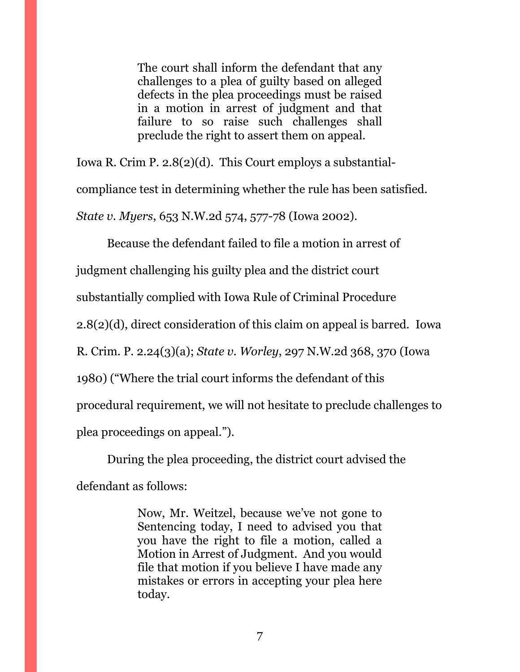The court shall inform the defendant that any challenges to a plea of guilty based on alleged defects in the plea proceedings must be raised in a motion in arrest of judgment and that failure to so raise such challenges shall preclude the right to assert them on appeal.

Iowa R. Crim P. 2.8(2)(d). This Court employs a substantialcompliance test in determining whether the rule has been satisfied. *State v. Myers*, 653 N.W.2d 574, 577-78 (Iowa 2002).

Because the defendant failed to file a motion in arrest of

judgment challenging his guilty plea and the district court

substantially complied with Iowa Rule of Criminal Procedure

2.8(2)(d), direct consideration of this claim on appeal is barred. Iowa

R. Crim. P. 2.24(3)(a); *State v. Worley*, 297 N.W.2d 368, 370 (Iowa

1980) ("Where the trial court informs the defendant of this

procedural requirement, we will not hesitate to preclude challenges to

plea proceedings on appeal.").

During the plea proceeding, the district court advised the defendant as follows:

> Now, Mr. Weitzel, because we've not gone to Sentencing today, I need to advised you that you have the right to file a motion, called a Motion in Arrest of Judgment. And you would file that motion if you believe I have made any mistakes or errors in accepting your plea here today.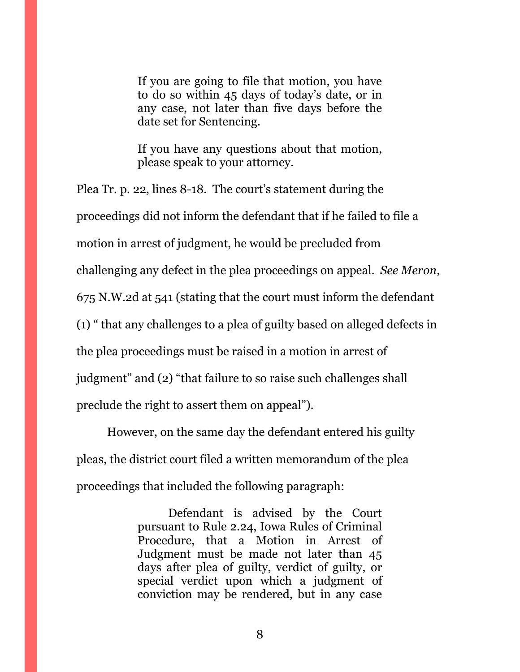If you are going to file that motion, you have to do so within 45 days of today's date, or in any case, not later than five days before the date set for Sentencing.

If you have any questions about that motion, please speak to your attorney.

Plea Tr. p. 22, lines 8-18. The court's statement during the proceedings did not inform the defendant that if he failed to file a motion in arrest of judgment, he would be precluded from challenging any defect in the plea proceedings on appeal. *See Meron*, 675 N.W.2d at 541 (stating that the court must inform the defendant (1) " that any challenges to a plea of guilty based on alleged defects in the plea proceedings must be raised in a motion in arrest of judgment" and (2) "that failure to so raise such challenges shall preclude the right to assert them on appeal").

However, on the same day the defendant entered his guilty pleas, the district court filed a written memorandum of the plea proceedings that included the following paragraph:

> Defendant is advised by the Court pursuant to Rule 2.24, Iowa Rules of Criminal Procedure, that a Motion in Arrest of Judgment must be made not later than 45 days after plea of guilty, verdict of guilty, or special verdict upon which a judgment of conviction may be rendered, but in any case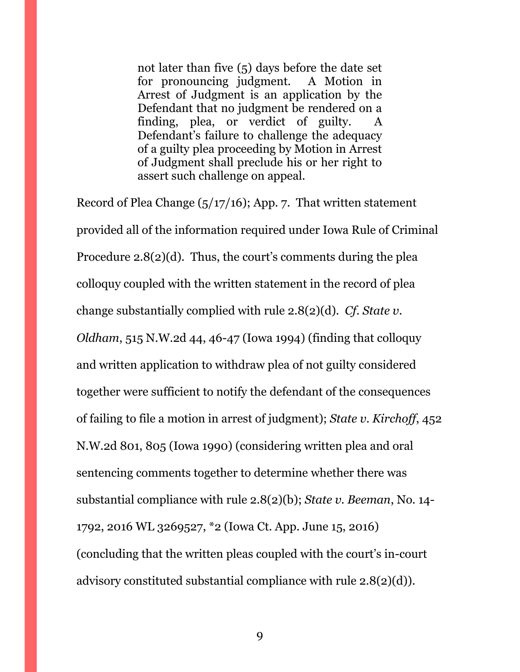not later than five (5) days before the date set for pronouncing judgment. A Motion in Arrest of Judgment is an application by the Defendant that no judgment be rendered on a finding, plea, or verdict of guilty. A Defendant's failure to challenge the adequacy of a guilty plea proceeding by Motion in Arrest of Judgment shall preclude his or her right to assert such challenge on appeal.

Record of Plea Change  $(5/17/16)$ ; App. 7. That written statement provided all of the information required under Iowa Rule of Criminal Procedure 2.8(2)(d). Thus, the court's comments during the plea colloquy coupled with the written statement in the record of plea change substantially complied with rule 2.8(2)(d). *Cf*. *State v. Oldham*, 515 N.W.2d 44, 46-47 (Iowa 1994) (finding that colloquy and written application to withdraw plea of not guilty considered together were sufficient to notify the defendant of the consequences of failing to file a motion in arrest of judgment); *State v. Kirchoff*, 452 N.W.2d 801, 805 (Iowa 1990) (considering written plea and oral sentencing comments together to determine whether there was substantial compliance with rule 2.8(2)(b); *State v. Beeman*, No. 14- 1792, 2016 WL 3269527, \*2 (Iowa Ct. App. June 15, 2016) (concluding that the written pleas coupled with the court's in-court advisory constituted substantial compliance with rule 2.8(2)(d)).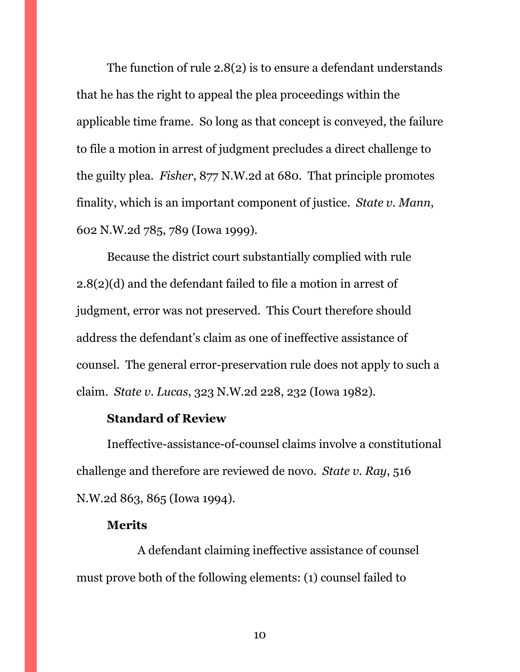The function of rule 2.8(2) is to ensure a defendant understands that he has the right to appeal the plea proceedings within the applicable time frame. So long as that concept is conveyed, the failure to file a motion in arrest of judgment precludes a direct challenge to the guilty plea. *Fisher*, 877 N.W.2d at 680. That principle promotes finality, which is an important component of justice. *State v. Mann*, 602 N.W.2d 785, 789 (Iowa 1999).

Because the district court substantially complied with rule 2.8(2)(d) and the defendant failed to file a motion in arrest of judgment, error was not preserved. This Court therefore should address the defendant's claim as one of ineffective assistance of counsel. The general error-preservation rule does not apply to such a claim. *State v. Lucas*, 323 N.W.2d 228, 232 (Iowa 1982).

#### **Standard of Review**

Ineffective-assistance-of-counsel claims involve a constitutional challenge and therefore are reviewed de novo. *State v. Ray*, 516 N.W.2d 863, 865 (Iowa 1994).

#### **Merits**

A defendant claiming ineffective assistance of counsel must prove both of the following elements: (1) counsel failed to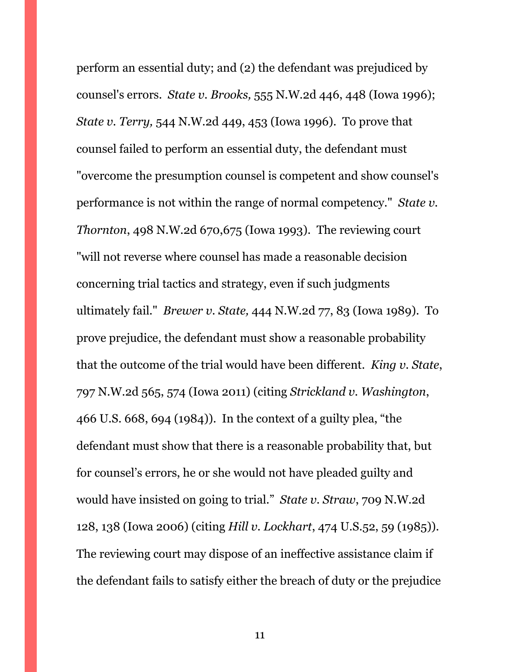perform an essential duty; and (2) the defendant was prejudiced by counsel's errors. *State v. Brooks,* 555 N.W.2d 446, 448 (Iowa 1996); *State v. Terry,* 544 N.W.2d 449, 453 (Iowa 1996). To prove that counsel failed to perform an essential duty, the defendant must "overcome the presumption counsel is competent and show counsel's performance is not within the range of normal competency." *State v. Thornton*, 498 N.W.2d 670,675 (Iowa 1993). The reviewing court "will not reverse where counsel has made a reasonable decision concerning trial tactics and strategy, even if such judgments ultimately fail." *Brewer v. State,* 444 N.W.2d 77, 83 (Iowa 1989). To prove prejudice, the defendant must show a reasonable probability that the outcome of the trial would have been different. *King v. State*, 797 N.W.2d 565, 574 (Iowa 2011) (citing *Strickland v. Washington*, 466 U.S. 668, 694 (1984)). In the context of a guilty plea, "the defendant must show that there is a reasonable probability that, but for counsel's errors, he or she would not have pleaded guilty and would have insisted on going to trial." *State v. Straw*, 709 N.W.2d 128, 138 (Iowa 2006) (citing *Hill v. Lockhart*, 474 U.S.52, 59 (1985)). The reviewing court may dispose of an ineffective assistance claim if the defendant fails to satisfy either the breach of duty or the prejudice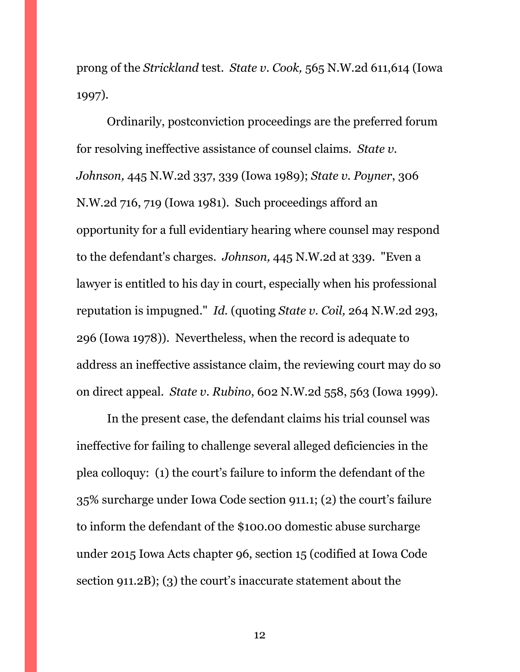prong of the *Strickland* test. *State v. Cook,* 565 N.W.2d 611,614 (Iowa 1997).

Ordinarily, postconviction proceedings are the preferred forum for resolving ineffective assistance of counsel claims. *State v. Johnson,* 445 N.W.2d 337, 339 (Iowa 1989); *State v. Poyner*, 306 N.W.2d 716, 719 (Iowa 1981). Such proceedings afford an opportunity for a full evidentiary hearing where counsel may respond to the defendant's charges. *Johnson,* 445 N.W.2d at 339. "Even a lawyer is entitled to his day in court, especially when his professional reputation is impugned." *Id.* (quoting *State v. Coil,* 264 N.W.2d 293, 296 (Iowa 1978)). Nevertheless, when the record is adequate to address an ineffective assistance claim, the reviewing court may do so on direct appeal. *State v. Rubino*, 602 N.W.2d 558, 563 (Iowa 1999).

In the present case, the defendant claims his trial counsel was ineffective for failing to challenge several alleged deficiencies in the plea colloquy: (1) the court's failure to inform the defendant of the 35% surcharge under Iowa Code section 911.1; (2) the court's failure to inform the defendant of the \$100.00 domestic abuse surcharge under 2015 Iowa Acts chapter 96, section 15 (codified at Iowa Code section 911.2B); (3) the court's inaccurate statement about the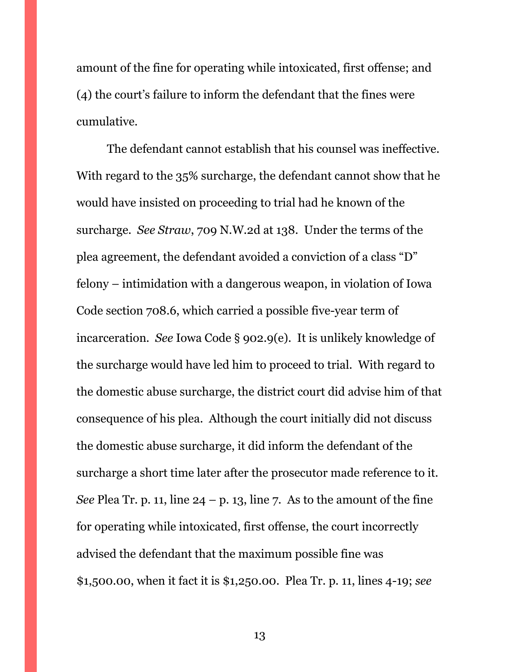amount of the fine for operating while intoxicated, first offense; and (4) the court's failure to inform the defendant that the fines were cumulative.

The defendant cannot establish that his counsel was ineffective. With regard to the 35% surcharge, the defendant cannot show that he would have insisted on proceeding to trial had he known of the surcharge. *See Straw*, 709 N.W.2d at 138. Under the terms of the plea agreement, the defendant avoided a conviction of a class "D" felony – intimidation with a dangerous weapon, in violation of Iowa Code section 708.6, which carried a possible five-year term of incarceration. *See* Iowa Code § 902.9(e). It is unlikely knowledge of the surcharge would have led him to proceed to trial. With regard to the domestic abuse surcharge, the district court did advise him of that consequence of his plea. Although the court initially did not discuss the domestic abuse surcharge, it did inform the defendant of the surcharge a short time later after the prosecutor made reference to it. *See* Plea Tr. p. 11, line  $24 - p$ . 13, line 7. As to the amount of the fine for operating while intoxicated, first offense, the court incorrectly advised the defendant that the maximum possible fine was \$1,500.00, when it fact it is \$1,250.00. Plea Tr. p. 11, lines 4-19; *see*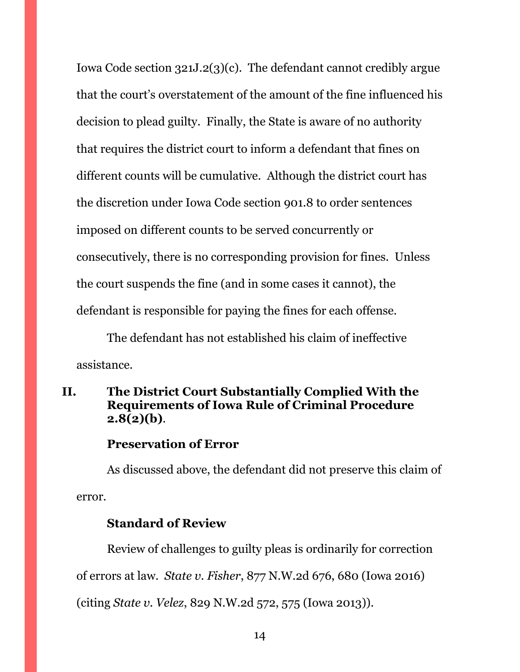Iowa Code section 321J.2(3)(c). The defendant cannot credibly argue that the court's overstatement of the amount of the fine influenced his decision to plead guilty. Finally, the State is aware of no authority that requires the district court to inform a defendant that fines on different counts will be cumulative. Although the district court has the discretion under Iowa Code section 901.8 to order sentences imposed on different counts to be served concurrently or consecutively, there is no corresponding provision for fines. Unless the court suspends the fine (and in some cases it cannot), the defendant is responsible for paying the fines for each offense.

The defendant has not established his claim of ineffective assistance.

## <span id="page-17-0"></span>**II. The District Court Substantially Complied With the Requirements of Iowa Rule of Criminal Procedure 2.8(2)(b)**.

#### **Preservation of Error**

As discussed above, the defendant did not preserve this claim of error.

#### **Standard of Review**

Review of challenges to guilty pleas is ordinarily for correction

of errors at law. *State v. Fisher*, 877 N.W.2d 676, 680 (Iowa 2016)

(citing *State v. Velez*, 829 N.W.2d 572, 575 (Iowa 2013)).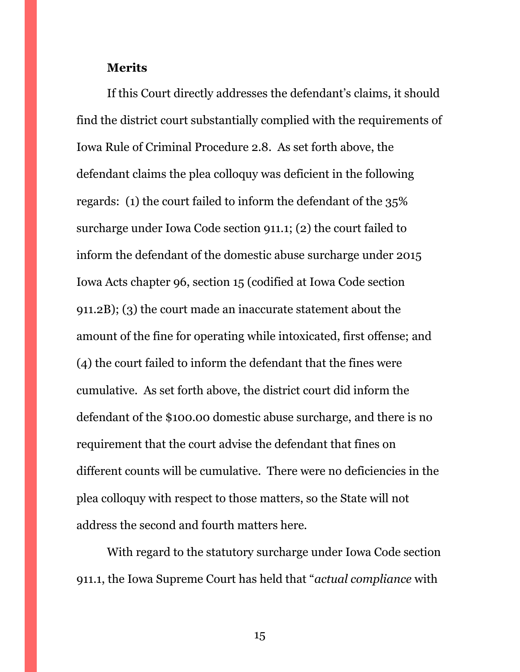#### **Merits**

If this Court directly addresses the defendant's claims, it should find the district court substantially complied with the requirements of Iowa Rule of Criminal Procedure 2.8. As set forth above, the defendant claims the plea colloquy was deficient in the following regards: (1) the court failed to inform the defendant of the 35% surcharge under Iowa Code section 911.1; (2) the court failed to inform the defendant of the domestic abuse surcharge under 2015 Iowa Acts chapter 96, section 15 (codified at Iowa Code section 911.2B); (3) the court made an inaccurate statement about the amount of the fine for operating while intoxicated, first offense; and (4) the court failed to inform the defendant that the fines were cumulative. As set forth above, the district court did inform the defendant of the \$100.00 domestic abuse surcharge, and there is no requirement that the court advise the defendant that fines on different counts will be cumulative. There were no deficiencies in the plea colloquy with respect to those matters, so the State will not address the second and fourth matters here.

With regard to the statutory surcharge under Iowa Code section 911.1, the Iowa Supreme Court has held that "*actual compliance* with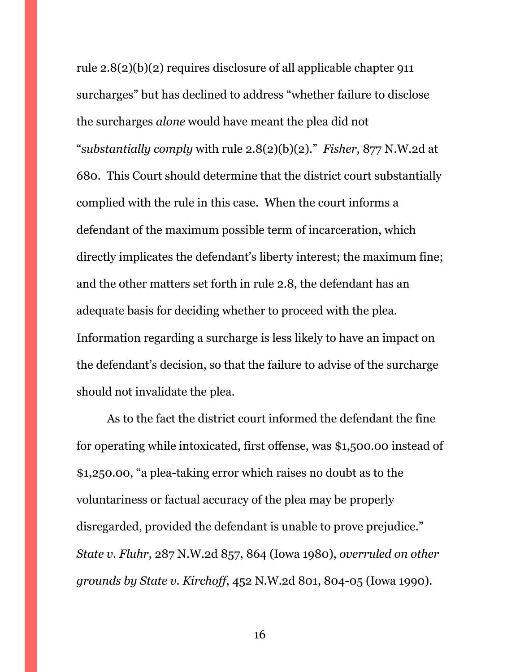rule 2.8(2)(b)(2) requires disclosure of all applicable chapter 911 surcharges" but has declined to address "whether failure to disclose the surcharges *alone* would have meant the plea did not "*substantially comply* with rule 2.8(2)(b)(2)." *Fisher*, 877 N.W.2d at 680. This Court should determine that the district court substantially complied with the rule in this case. When the court informs a defendant of the maximum possible term of incarceration, which directly implicates the defendant's liberty interest; the maximum fine; and the other matters set forth in rule 2.8, the defendant has an adequate basis for deciding whether to proceed with the plea. Information regarding a surcharge is less likely to have an impact on the defendant's decision, so that the failure to advise of the surcharge should not invalidate the plea.

As to the fact the district court informed the defendant the fine for operating while intoxicated, first offense, was \$1,500.00 instead of \$1,250.00, "a plea-taking error which raises no doubt as to the voluntariness or factual accuracy of the plea may be properly disregarded, provided the defendant is unable to prove prejudice." *State v. Fluhr*, 287 N.W.2d 857, 864 (Iowa 1980), *overruled on other grounds by State v. Kirchoff*, 452 N.W.2d 801, 804-05 (Iowa 1990).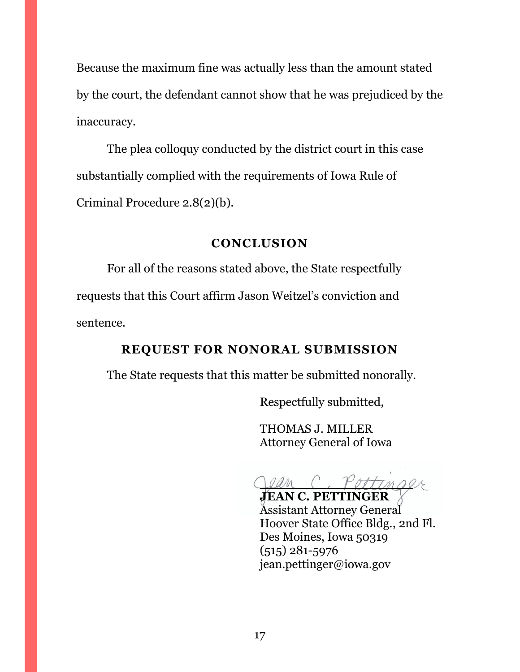Because the maximum fine was actually less than the amount stated by the court, the defendant cannot show that he was prejudiced by the inaccuracy.

The plea colloquy conducted by the district court in this case substantially complied with the requirements of Iowa Rule of Criminal Procedure 2.8(2)(b).

### **CONCLUSION**

<span id="page-20-0"></span>For all of the reasons stated above, the State respectfully requests that this Court affirm Jason Weitzel's conviction and sentence.

## **REQUEST FOR NONORAL SUBMISSION**

<span id="page-20-1"></span>The State requests that this matter be submitted nonorally.

Respectfully submitted,

THOMAS J. MILLER Attorney General of Iowa

 $\bigcap$ *Oam* 

**JEAN C. PETTINGER** Assistant Attorney General Hoover State Office Bldg., 2nd Fl. Des Moines, Iowa 50319 (515) 281-5976 jean.pettinger@iowa.gov